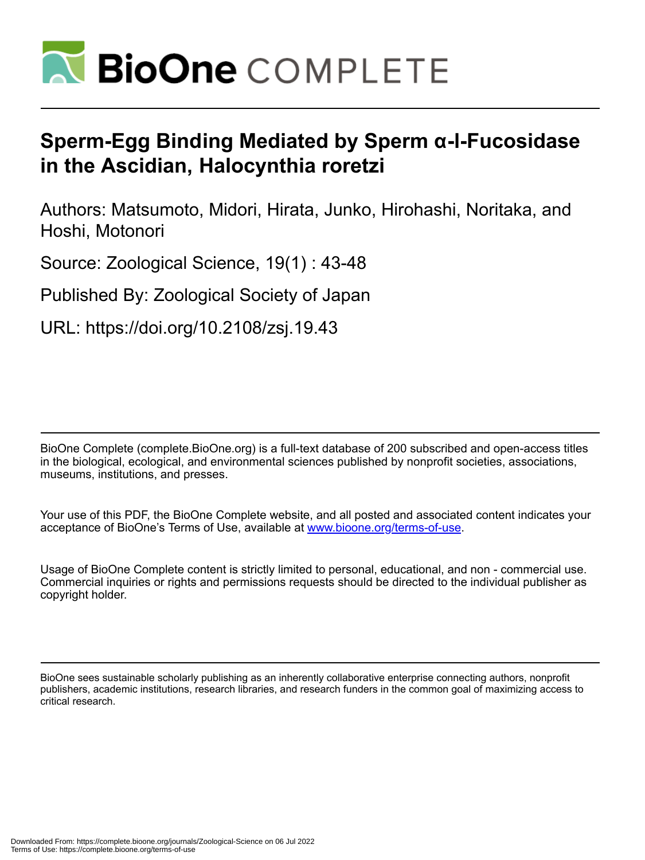

# **Sperm-Egg Binding Mediated by Sperm α-l-Fucosidase in the Ascidian, Halocynthia roretzi**

Authors: Matsumoto, Midori, Hirata, Junko, Hirohashi, Noritaka, and Hoshi, Motonori

Source: Zoological Science, 19(1) : 43-48

Published By: Zoological Society of Japan

URL: https://doi.org/10.2108/zsj.19.43

BioOne Complete (complete.BioOne.org) is a full-text database of 200 subscribed and open-access titles in the biological, ecological, and environmental sciences published by nonprofit societies, associations, museums, institutions, and presses.

Your use of this PDF, the BioOne Complete website, and all posted and associated content indicates your acceptance of BioOne's Terms of Use, available at www.bioone.org/terms-of-use.

Usage of BioOne Complete content is strictly limited to personal, educational, and non - commercial use. Commercial inquiries or rights and permissions requests should be directed to the individual publisher as copyright holder.

BioOne sees sustainable scholarly publishing as an inherently collaborative enterprise connecting authors, nonprofit publishers, academic institutions, research libraries, and research funders in the common goal of maximizing access to critical research.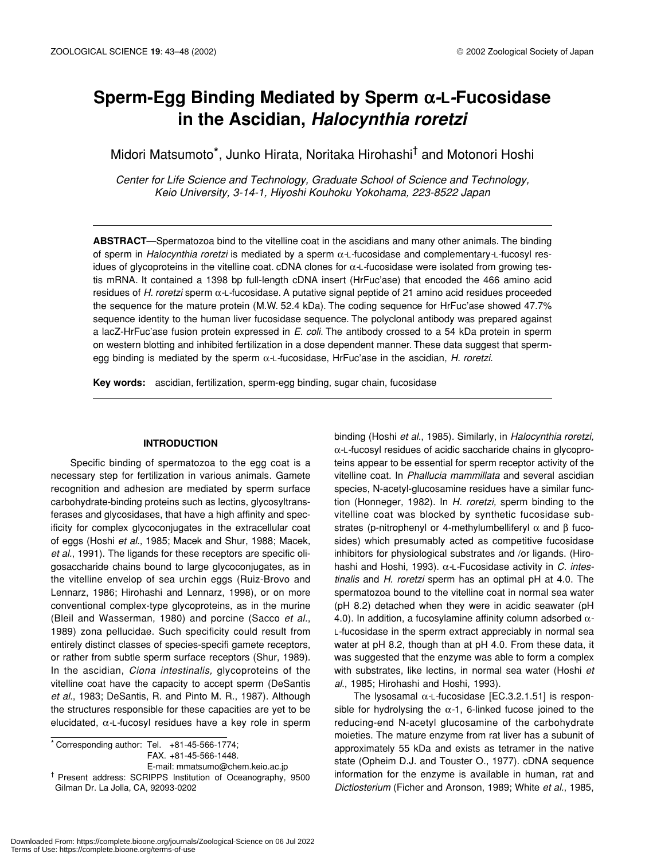# **Sperm-Egg Binding Mediated by Sperm**  α*-***L***-***Fucosidase in the Ascidian,** *Halocynthia roretzi*

Midori Matsumoto\*, Junko Hirata, Noritaka Hirohashi† and Motonori Hoshi

*Center for Life Science and Technology, Graduate School of Science and Technology, Keio University, 3-14-1, Hiyoshi Kouhoku Yokohama, 223-8522 Japan*

**ABSTRACT**—Spermatozoa bind to the vitelline coat in the ascidians and many other animals. The binding of sperm in *Halocynthia roretzi* is mediated by a sperm α*-*L*-*fucosidase and complementary*-*L*-*fucosyl residues of glycoproteins in the vitelline coat. cDNA clones for α*-*L*-*fucosidase were isolated from growing testis mRNA. It contained a 1398 bp full-length cDNA insert (HrFuc'ase) that encoded the 466 amino acid residues of *H. roretzi* sperm α*-*L*-*fucosidase. A putative signal peptide of 21 amino acid residues proceeded the sequence for the mature protein (M.W. 52.4 kDa). The coding sequence for HrFuc'ase showed 47.7% sequence identity to the human liver fucosidase sequence. The polyclonal antibody was prepared against a lacZ-HrFuc'ase fusion protein expressed in *E. coli*. The antibody crossed to a 54 kDa protein in sperm on western blotting and inhibited fertilization in a dose dependent manner. These data suggest that spermegg binding is mediated by the sperm α*-*L*-*fucosidase, HrFuc'ase in the ascidian, *H. roretzi*.

**Key words:** ascidian, fertilization, sperm-egg binding, sugar chain, fucosidase

# **INTRODUCTION**

Specific binding of spermatozoa to the egg coat is a necessary step for fertilization in various animals. Gamete recognition and adhesion are mediated by sperm surface carbohydrate-binding proteins such as lectins, glycosyltransferases and glycosidases, that have a high affinity and specificity for complex glycoconjugates in the extracellular coat of eggs (Hoshi *et al.*, 1985; Macek and Shur, 1988; Macek, *et al.*, 1991). The ligands for these receptors are specific oligosaccharide chains bound to large glycoconjugates, as in the vitelline envelop of sea urchin eggs (Ruiz-Brovo and Lennarz, 1986; Hirohashi and Lennarz, 1998), or on more conventional complex-type glycoproteins, as in the murine (Bleil and Wasserman, 1980) and porcine (Sacco *et al.*, 1989) zona pellucidae. Such specificity could result from entirely distinct classes of species-specifi gamete receptors, or rather from subtle sperm surface receptors (Shur, 1989). In the ascidian, *Ciona intestinalis,* glycoproteins of the vitelline coat have the capacity to accept sperm (DeSantis *et al.*, 1983; DeSantis, R. and Pinto M. R., 1987). Although the structures responsible for these capacities are yet to be elucidated, α*-*L*-*fucosyl residues have a key role in sperm

 $\overline{\bullet}$  Corresponding author: Tel. +81-45-566-1774; FAX. +81-45-566-1448.

E-mail: mmatsumo@chem.keio.ac.jp

† Present address: SCRIPPS Institution of Oceanography, 9500 Gilman Dr. La Jolla, CA, 92093-0202

binding (Hoshi *et al.*, 1985). Similarly, in *Halocynthia roretzi,* α*-*L*-*fucosyl residues of acidic saccharide chains in glycoproteins appear to be essential for sperm receptor activity of the vitelline coat. In *Phallucia mammillata* and several ascidian species, N-acetyl-glucosamine residues have a similar function (Honneger, 1982). In *H. roretzi,* sperm binding to the vitelline coat was blocked by synthetic fucosidase substrates (p-nitrophenyl or 4-methylumbelliferyl  $\alpha$  and  $\beta$  fucosides) which presumably acted as competitive fucosidase inhibitors for physiological substrates and /or ligands. (Hirohashi and Hoshi, 1993). α*-*L*-*Fucosidase activity in *C. intestinalis* and *H. roretzi* sperm has an optimal pH at 4.0. The spermatozoa bound to the vitelline coat in normal sea water (pH 8.2) detached when they were in acidic seawater (pH 4.0). In addition, a fucosylamine affinity column adsorbed α*-*L*-*fucosidase in the sperm extract appreciably in normal sea water at pH 8.2, though than at pH 4.0. From these data, it was suggested that the enzyme was able to form a complex with substrates, like lectins, in normal sea water (Hoshi *et al.*, 1985; Hirohashi and Hoshi, 1993).

The lysosamal α*-*L*-*fucosidase [EC.3.2.1.51] is responsible for hydrolysing the  $\alpha$ -1, 6-linked fucose joined to the reducing-end N-acetyl glucosamine of the carbohydrate moieties. The mature enzyme from rat liver has a subunit of approximately 55 kDa and exists as tetramer in the native state (Opheim D.J. and Touster O., 1977). cDNA sequence information for the enzyme is available in human, rat and *Dictiosterium* (Ficher and Aronson, 1989; White *et al.*, 1985,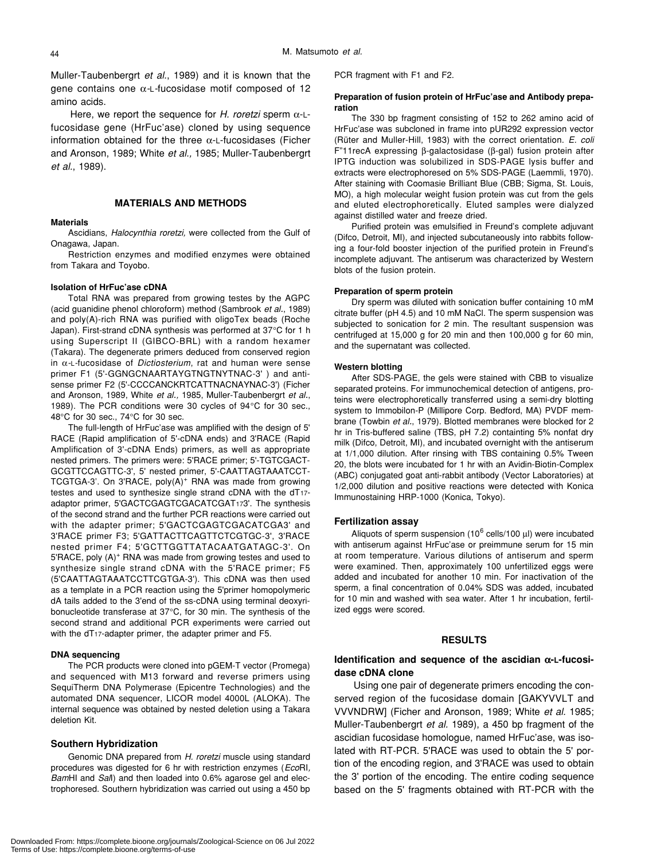Muller-Taubenbergrt *et al.*, 1989) and it is known that the gene contains one α*-*L*-*fucosidase motif composed of 12 amino acids.

Here, we report the sequence for *H. roretzi* sperm α-Lfucosidase gene (HrFuc'ase) cloned by using sequence information obtained for the three  $\alpha$ -L-fucosidases (Ficher and Aronson, 1989; White *et al.,* 1985; Muller-Taubenbergrt *et al.*, 1989).

# **MATERIALS AND METHODS**

#### **Materials**

Ascidians, *Halocynthia roretzi,* were collected from the Gulf of Onagawa, Japan.

Restriction enzymes and modified enzymes were obtained from Takara and Toyobo.

#### **Isolation of HrFuc'ase cDNA**

Total RNA was prepared from growing testes by the AGPC (acid guanidine phenol chloroform) method (Sambrook *et al.*, 1989) and poly(A)-rich RNA was purified with oligoTex beads (Roche Japan). First-strand cDNA synthesis was performed at 37°C for 1 h using Superscript II (GIBCO-BRL) with a random hexamer (Takara). The degenerate primers deduced from conserved region in α*-*L*-*fucosidase of *Dictiosterium*, rat and human were sense primer F1 (5'-GGNGCNAARTAYGTNGTNYTNAC-3' ) and antisense primer F2 (5'-CCCCANCKRTCATTNACNAYNAC-3') (Ficher and Aronson, 1989, White *et al.,* 1985, Muller-Taubenbergrt *et al.*, 1989). The PCR conditions were 30 cycles of 94°C for 30 sec., 48°C for 30 sec., 74°C for 30 sec.

The full-length of HrFuc'ase was amplified with the design of 5' RACE (Rapid amplification of 5'-cDNA ends) and 3'RACE (Rapid Amplification of 3'-cDNA Ends) primers, as well as appropriate nested primers. The primers were: 5'RACE primer; 5'-TGTCGACT-GCGTTCCAGTTC-3', 5' nested primer, 5'-CAATTAGTAAATCCT-TCGTGA-3'. On 3'RACE,  $poly(A)^+$  RNA was made from growing testes and used to synthesize single strand cDNA with the dT17adaptor primer, 5'GACTCGAGTCGACATCGAT173'. The synthesis of the second strand and the further PCR reactions were carried out with the adapter primer; 5'GACTCGAGTCGACATCGA3' and 3'RACE primer F3; 5'GATTACTTCAGTTCTCGTGC-3', 3'RACE nested primer F4; 5'GCTTGGTTATACAATGATAGC-3'. On 5'RACE, poly (A)<sup>+</sup> RNA was made from growing testes and used to synthesize single strand cDNA with the 5'RACE primer; F5 (5'CAATTAGTAAATCCTTCGTGA-3'). This cDNA was then used as a template in a PCR reaction using the 5'primer homopolymeric dA tails added to the 3'end of the ss-cDNA using terminal deoxyribonucleotide transferase at 37°C, for 30 min. The synthesis of the second strand and additional PCR experiments were carried out with the dT17-adapter primer, the adapter primer and F5.

#### **DNA sequencing**

The PCR products were cloned into pGEM-T vector (Promega) and sequenced with M13 forward and reverse primers using SequiTherm DNA Polymerase (Epicentre Technologies) and the automated DNA sequencer, LICOR model 4000L (ALOKA). The internal sequence was obtained by nested deletion using a Takara deletion Kit.

#### **Southern Hybridization**

Genomic DNA prepared from *H. roretzi* muscle using standard procedures was digested for 6 hr with restriction enzymes (*Eco*RI*, Bam*HI and *Sal*I) and then loaded into 0.6% agarose gel and electrophoresed. Southern hybridization was carried out using a 450 bp PCR fragment with F1 and F2.

#### **Preparation of fusion protein of HrFuc'ase and Antibody preparation**

The 330 bp fragment consisting of 152 to 262 amino acid of HrFuc'ase was subcloned in frame into pUR292 expression vector (Rüter and Muller-Hill, 1983) with the correct orientation. *E. coli* F"11recA expressing β-galactosidase (β-gal) fusion protein after IPTG induction was solubilized in SDS-PAGE lysis buffer and extracts were electrophoresed on 5% SDS-PAGE (Laemmli, 1970). After staining with Coomasie Brilliant Blue (CBB; Sigma, St. Louis, MO), a high molecular weight fusion protein was cut from the gels and eluted electrophoretically. Eluted samples were dialyzed against distilled water and freeze dried.

Purified protein was emulsified in Freund's complete adjuvant (Difco, Detroit, MI), and injected subcutaneously into rabbits following a four-fold booster injection of the purified protein in Freund's incomplete adjuvant. The antiserum was characterized by Western blots of the fusion protein.

#### **Preparation of sperm protein**

Dry sperm was diluted with sonication buffer containing 10 mM citrate buffer (pH 4.5) and 10 mM NaCl. The sperm suspension was subjected to sonication for 2 min. The resultant suspension was centrifuged at 15,000 g for 20 min and then 100,000 g for 60 min, and the supernatant was collected.

#### **Western blotting**

After SDS-PAGE, the gels were stained with CBB to visualize separated proteins. For immunochemical detection of antigens, proteins were electrophoretically transferred using a semi-dry blotting system to Immobilon-P (Millipore Corp. Bedford, MA) PVDF membrane (Towbin *et al.*, 1979). Blotted membranes were blocked for 2 hr in Tris-buffered saline (TBS, pH 7.2) containting 5% nonfat dry milk (Difco, Detroit, MI), and incubated overnight with the antiserum at 1/1,000 dilution. After rinsing with TBS containing 0.5% Tween 20, the blots were incubated for 1 hr with an Avidin-Biotin-Complex (ABC) conjugated goat anti-rabbit antibody (Vector Laboratories) at 1/2,000 dilution and positive reactions were detected with Konica Immunostaining HRP-1000 (Konica, Tokyo).

#### **Fertilization assay**

Aliquots of sperm suspension (10 $^6$  cells/100  $\mu$ l) were incubated with antiserum against HrFuc'ase or preimmune serum for 15 min at room temperature. Various dilutions of antiserum and sperm were examined. Then, approximately 100 unfertilized eggs were added and incubated for another 10 min. For inactivation of the sperm, a final concentration of 0.04% SDS was added, incubated for 10 min and washed with sea water. After 1 hr incubation, fertilized eggs were scored.

#### **RESULTS**

# **Identification and sequence of the ascidian**  α**-L-fucosidase cDNA clone**

Using one pair of degenerate primers encoding the conserved region of the fucosidase domain [GAKYVVLT and VVVNDRW] (Ficher and Aronson, 1989; White *et al.* 1985; Muller-Taubenbergrt *et al.* 1989), a 450 bp fragment of the ascidian fucosidase homologue, named HrFuc'ase, was isolated with RT-PCR. 5'RACE was used to obtain the 5' portion of the encoding region, and 3'RACE was used to obtain the 3' portion of the encoding. The entire coding sequence based on the 5' fragments obtained with RT-PCR with the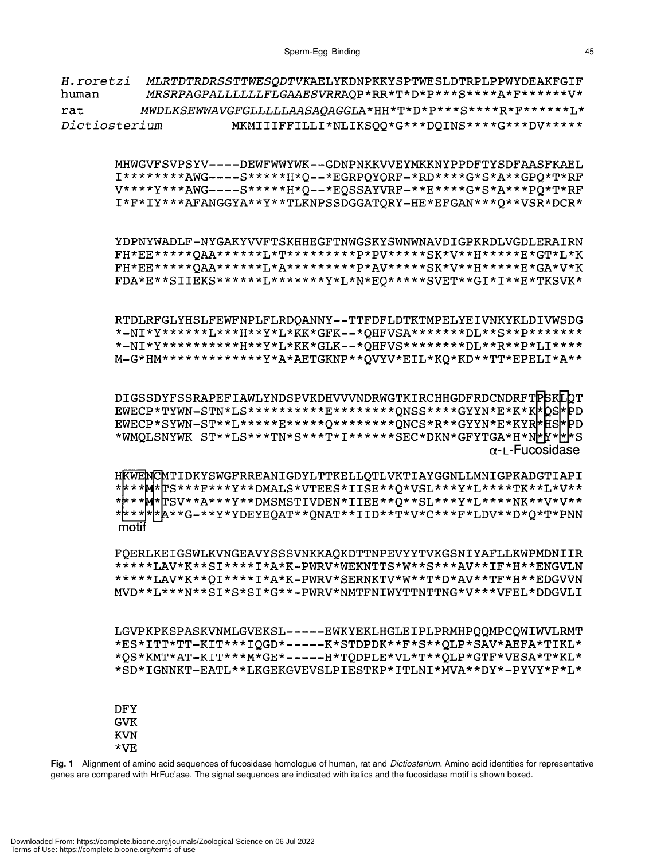| H.roretzi<br>human |                          |  | MLRTDTRDRSSTTWESQDTVKAELYKDNPKKYSPTWESLDTRPLPPWYDEAKFGIF<br>MRSRPAGPALLLLLLLFLGAAESVRRAQP*RR*T*D*P***S****A*F*******V*                                                                                                                                                                                               |
|--------------------|--------------------------|--|----------------------------------------------------------------------------------------------------------------------------------------------------------------------------------------------------------------------------------------------------------------------------------------------------------------------|
| rat                |                          |  | MWDLKSEWWAVGFGLLLLLAASAQAGGLA*HH*T*D*P***S****R*F******L*                                                                                                                                                                                                                                                            |
| Dictiosterium      |                          |  | MKMIIIFFILLI*NLIKSQQ*G***DQINS****G***DV*****                                                                                                                                                                                                                                                                        |
|                    |                          |  | MHWGVFSVPSYV----DEWFWWYWK--GDNPNKKVVEYMKKNYPPDFTYSDFAASFKAEL<br>I********AWG----S*****H*Q--*EGRPQYQRF-*RD****G*S*A**GPQ*T*RF<br>V****Y***AWG----S*****H*Q--*EQSSAYVRF-**E****G*S*A***PQ*T*RF<br>I*F*IY***AFANGGYA**Y**TLKNPSSDGGATQRY-HE*EFGAN***Q**VSR*DCR*                                                         |
|                    |                          |  | YDPNYWADLF-NYGAKYVVFTSKHHEGFTNWGSKYSWNWNAVDIGPKRDLVGDLERAIRN<br>FH*EE*****QAA******L*T*********P*PV*****SK*V**H******E*GT*L*K<br>FH*EE*****QAA******L*A*********P*AV*****SK*V**H*****E*GA*V*K<br>FDA*E**SIIEKS******L*******Y*L*N*EQ*****SVET**GI*I**E*TKSVK*                                                        |
|                    |                          |  | RTDLRFGLYHSLFEWFNPLFLRDQANNY--TTFDFLDTKTMPELYEIVNKYKLDIVWSDG<br>*-NI*Y******L***H**Y*L*KK*GFK--*QHFVSA*******DL**S**P*******<br>*-NI*Y***********H**Y*L*KK*GLK--*QHFVS********DL**R**P*LI****<br>M-G*HM*************Y*A*AETGKNP**QVYV*EIL*KQ*KD**TT*EPELI*A**                                                        |
|                    |                          |  | DIGSSDYFSSRAPEFIAWLYNDSPVKDHVVVNDRWGTKIRCHHGDFRDCNDRFTPSKLOT<br>EWECP*TYWN-STN*LS**********E********QNSS****GYYN*E*K*K*QS*PD<br>EWECP*SYWN-ST**L*****E*****Q********QNCS*R**GYYN*E*KYR*ES*PD<br>*WMQLSNYWK ST**LS***TN*S***T*I******SEC*DKN*GFYTGA*H*N <mark>*</mark> Y* <mark>*</mark> *S<br>$\alpha$ -L-Fucosidase |
|                    | motif                    |  | HKWENCMTIDKYSWGFRREANIGDYLTTKELLQTLVKTIAYGGNLLMNIGPKADGTIAPI<br>****M*ICS***F***Y**DMALS*VTEES*IISE**Q*VSL***Y*L****TK**L*V**<br>****M*TSV**A***Y**DMSMSTIVDEN*IIEE**Q**SL***Y*L****NK**V*V**<br>* <u>***</u> **&**G_**Y*YDEYEQAT**QNAT**IID**T*V*C***F*LDV**D*Q*T*PNN                                               |
|                    |                          |  | FQERLKEIGSWLKVNGEAVYSSSVNKKAQKDTTNPEVYYTVKGSNIYAFLLKWPMDNIIR<br>*****LAV*K**SI****I*A*K-PWRV*WEKNTTS*W**S***AV**IF*H**ENGVLN<br>*****LAV*K**QI****I*A*K-PWRV*SERNKTV*W**T*D*AV**TF*H**EDGVVN<br>MVD**L***N**SI*S*SI*G**-PWRV*NMTFNIWYTTNTTNG*V***VFEL*DDGVLI                                                         |
|                    |                          |  | LGVPKPKSPASKVNMLGVEKSL-----EWKYEKLHGLEIPLPRMHPQQMPCQWIWVLRMT<br>*ES*ITT*TT-KIT***IQGD*-----K*STDPDK**F*S**QLP*SAV*AEFA*TIKL*<br>*QS*KMT*AT-KIT***M*GE*-----H*TQDPLE*VL*T**QLP*GTF*VESA*T*KL*<br>*SD*IGNNKT-EATL**LKGEKGVEVSLPIESTKP*ITLNI*MVA**DY*-PYVY*F*L*                                                         |
|                    | <b>DFY</b><br><b>GVK</b> |  |                                                                                                                                                                                                                                                                                                                      |

KVN  $*vE$ 

**Fig. 1** Alignment of amino acid sequences of fucosidase homologue of human, rat and *Dictiosterium*. Amino acid identities for representative genes are compared with HrFuc'ase. The signal sequences are indicated with italics and the fucosidase motif is shown boxed.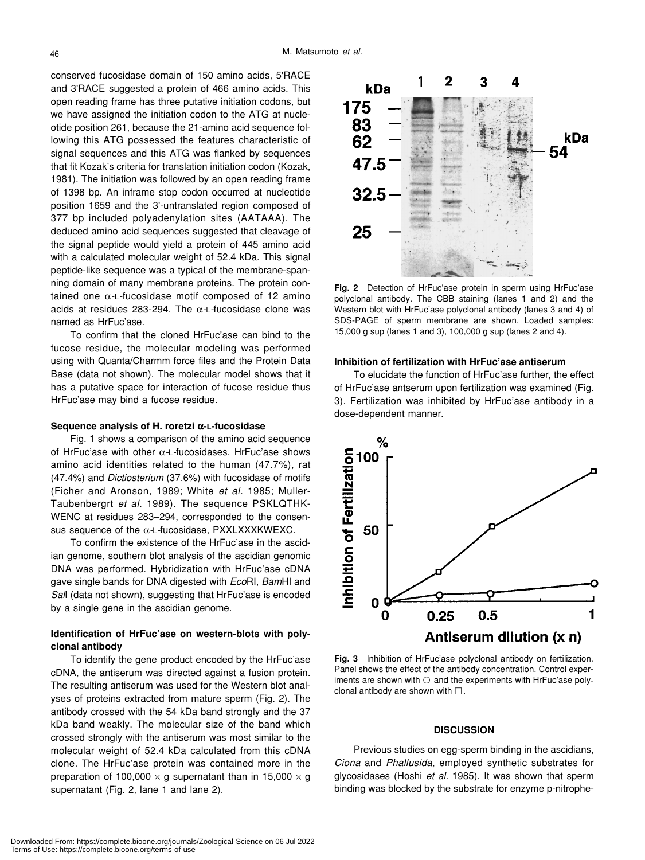conserved fucosidase domain of 150 amino acids, 5'RACE and 3'RACE suggested a protein of 466 amino acids. This open reading frame has three putative initiation codons, but we have assigned the initiation codon to the ATG at nucleotide position 261, because the 21-amino acid sequence following this ATG possessed the features characteristic of signal sequences and this ATG was flanked by sequences that fit Kozak's criteria for translation initiation codon (Kozak, 1981). The initiation was followed by an open reading frame of 1398 bp. An inframe stop codon occurred at nucleotide position 1659 and the 3'-untranslated region composed of 377 bp included polyadenylation sites (AATAAA). The deduced amino acid sequences suggested that cleavage of the signal peptide would yield a protein of 445 amino acid with a calculated molecular weight of 52.4 kDa. This signal peptide-like sequence was a typical of the membrane-spanning domain of many membrane proteins. The protein contained one α*-*L*-*fucosidase motif composed of 12 amino acids at residues 283-294. The α*-*L*-*fucosidase clone was named as HrFuc'ase.

To confirm that the cloned HrFuc'ase can bind to the fucose residue, the molecular modeling was performed using with Quanta/Charmm force files and the Protein Data Base (data not shown). The molecular model shows that it has a putative space for interaction of fucose residue thus HrFuc'ase may bind a fucose residue.

#### **Sequence analysis of H. roretzi**  α**-L-fucosidase**

Fig. 1 shows a comparison of the amino acid sequence of HrFuc'ase with other α*-*L*-*fucosidases. HrFuc'ase shows amino acid identities related to the human (47.7%), rat (47.4%) and *Dictiosterium* (37.6%) with fucosidase of motifs (Ficher and Aronson, 1989; White *et al.* 1985; Muller-Taubenbergrt *et al.* 1989). The sequence PSKLQTHK-WENC at residues 283–294, corresponded to the consensus sequence of the α*-*L*-*fucosidase, PXXLXXXKWEXC.

To confirm the existence of the HrFuc'ase in the ascidian genome, southern blot analysis of the ascidian genomic DNA was performed. Hybridization with HrFuc'ase cDNA gave single bands for DNA digested with *Eco*RI, *Bam*HI and *Sal*I (data not shown), suggesting that HrFuc'ase is encoded by a single gene in the ascidian genome.

# **Identification of HrFuc'ase on western-blots with polyclonal antibody**

To identify the gene product encoded by the HrFuc'ase cDNA, the antiserum was directed against a fusion protein. The resulting antiserum was used for the Western blot analyses of proteins extracted from mature sperm (Fig. 2). The antibody crossed with the 54 kDa band strongly and the 37 kDa band weakly. The molecular size of the band which crossed strongly with the antiserum was most similar to the molecular weight of 52.4 kDa calculated from this cDNA clone. The HrFuc'ase protein was contained more in the preparation of 100,000  $\times$  g supernatant than in 15,000  $\times$  g supernatant (Fig. 2, lane 1 and lane 2).



**Fig. 2** Detection of HrFuc'ase protein in sperm using HrFuc'ase polyclonal antibody. The CBB staining (lanes 1 and 2) and the Western blot with HrFuc'ase polyclonal antibody (lanes 3 and 4) of SDS-PAGE of sperm membrane are shown. Loaded samples: 15,000 g sup (lanes 1 and 3), 100,000 g sup (lanes 2 and 4).

# **Inhibition of fertilization with HrFuc'ase antiserum**

To elucidate the function of HrFuc'ase further, the effect of HrFuc'ase antserum upon fertilization was examined (Fig. 3). Fertilization was inhibited by HrFuc'ase antibody in a dose-dependent manner.



**Fig. 3** Inhibition of HrFuc'ase polyclonal antibody on fertilization. Panel shows the effect of the antibody concentration. Control experiments are shown with and the experiments with HrFuc'ase polyclonal antibody are shown with .

# **DISCUSSION**

Previous studies on egg-sperm binding in the ascidians, *Ciona* and *Phallusida*, employed synthetic substrates for glycosidases (Hoshi *et al.* 1985). It was shown that sperm binding was blocked by the substrate for enzyme p-nitrophe-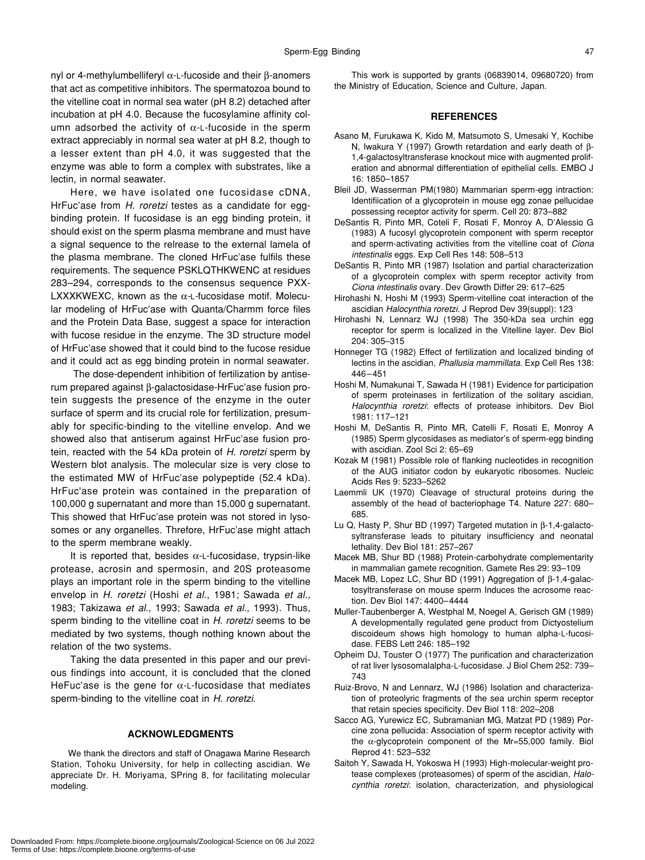nyl or 4-methylumbelliferyl α-L-fucoside and their β-anomers that act as competitive inhibitors. The spermatozoa bound to the vitelline coat in normal sea water (pH 8.2) detached after incubation at pH 4.0. Because the fucosylamine affinity column adsorbed the activity of  $\alpha$ -L-fucoside in the sperm extract appreciably in normal sea water at pH 8.2, though to a lesser extent than pH 4.0, it was suggested that the enzyme was able to form a complex with substrates, like a lectin, in normal seawater.

Here, we have isolated one fucosidase cDNA, HrFuc'ase from *H. roretzi* testes as a candidate for eggbinding protein. If fucosidase is an egg binding protein, it should exist on the sperm plasma membrane and must have a signal sequence to the relrease to the external lamela of the plasma membrane. The cloned HrFuc'ase fulfils these requirements. The sequence PSKLQTHKWENC at residues 283–294, corresponds to the consensus sequence PXX-LXXXKWEXC, known as the α*-*L*-*fucosidase motif. Molecular modeling of HrFuc'ase with Quanta/Charmm force files and the Protein Data Base, suggest a space for interaction with fucose residue in the enzyme. The 3D structure model of HrFuc'ase showed that it could bind to the fucose residue and it could act as egg binding protein in normal seawater.

 The dose-dependent inhibition of fertilization by antiserum prepared against β-galactosidase-HrFuc'ase fusion protein suggests the presence of the enzyme in the outer surface of sperm and its crucial role for fertilization, presumably for specific-binding to the vitelline envelop. And we showed also that antiserum against HrFuc'ase fusion protein, reacted with the 54 kDa protein of *H. roretzi* sperm by Western blot analysis. The molecular size is very close to the estimated MW of HrFuc'ase polypeptide (52.4 kDa). HrFuc'ase protein was contained in the preparation of 100,000 g supernatant and more than 15,000 g supernatant. This showed that HrFuc'ase protein was not stored in lysosomes or any organelles. Threfore, HrFuc'ase might attach to the sperm membrane weakly.

It is reported that, besides  $\alpha$ -L-fucosidase, trypsin-like protease, acrosin and spermosin, and 20S proteasome plays an important role in the sperm binding to the vitelline envelop in *H. roretzi* (Hoshi *et al.*, 1981; Sawada *et al.,* 1983; Takizawa *et al.,* 1993; Sawada *et al.,* 1993). Thus, sperm binding to the vitelline coat in *H. roretzi* seems to be mediated by two systems, though nothing known about the relation of the two systems.

Taking the data presented in this paper and our previous findings into account, it is concluded that the cloned HeFuc'ase is the gene for  $\alpha$ -L-fucosidase that mediates sperm-binding to the vitelline coat in *H. roretzi*.

#### **ACKNOWLEDGMENTS**

We thank the directors and staff of Onagawa Marine Research Station, Tohoku University, for help in collecting ascidian. We appreciate Dr. H. Moriyama, SPring 8, for facilitating molecular modeling.

This work is supported by grants (06839014, 09680720) from the Ministry of Education, Science and Culture, Japan.

# **REFERENCES**

- Asano M, Furukawa K, Kido M, Matsumoto S, Umesaki Y, Kochibe N, Iwakura Y (1997) Growth retardation and early death of β-1,4-galactosyltransferase knockout mice with augmented proliferation and abnormal differentiation of epithelial cells. EMBO J 16: 1850–1857
- Bleil JD, Wasserman PM(1980) Mammarian sperm-egg intraction: Identifiication of a glycoprotein in mouse egg zonae pellucidae possessing receptor activity for sperm. Cell 20: 873–882
- DeSantis R, Pinto MR, Coteli F, Rosati F, Monroy A, D'Alessio G (1983) A fucosyl glycoprotein component with sperm receptor and sperm-activating activities from the vitelline coat of *Ciona intestinalis* eggs. Exp Cell Res 148: 508–513
- DeSantis R, Pinto MR (1987) Isolation and partial characterization of a glycoprotein complex with sperm receptor activity from *Ciona intestinalis* ovary. Dev Growth Differ 29: 617–625
- Hirohashi N, Hoshi M (1993) Sperm-vitelline coat interaction of the ascidian *Halocynthia roretzi.* J Reprod Dev 39(suppl): 123
- Hirohashi N, Lennarz WJ (1998) The 350-kDa sea urchin egg receptor for sperm is localized in the Vitelline layer. Dev Biol 204: 305–315
- Honneger TG (1982) Effect of fertilization and localized binding of lectins in the ascidian, *Phallusia mammillata*. Exp Cell Res 138: 446–451
- Hoshi M, Numakunai T, Sawada H (1981) Evidence for participation of sperm proteinases in fertilization of the solitary ascidian, *Halocynthia roretzi*: effects of protease inhibitors. Dev Biol 1981: 117–121
- Hoshi M, DeSantis R, Pinto MR, Catelli F, Rosati E, Monroy A (1985) Sperm glycosidases as mediator's of sperm-egg binding with ascidian. Zool Sci 2: 65–69
- Kozak M (1981) Possible role of flanking nucleotides in recognition of the AUG initiator codon by eukaryotic ribosomes. Nucleic Acids Res 9: 5233–5262
- Laemmli UK (1970) Cleavage of structural proteins during the assembly of the head of bacteriophage T4. Nature 227: 680– 685.
- Lu Q, Hasty P, Shur BD (1997) Targeted mutation in β-1,4-galactosyltransferase leads to pituitary insufficiency and neonatal lethality. Dev Biol 181: 257–267
- Macek MB, Shur BD (1988) Protein-carbohydrate complementarity in mammalian gamete recognition. Gamete Res 29: 93–109
- Macek MB, Lopez LC, Shur BD (1991) Aggregation of β-1,4-galactosyltransferase on mouse sperm Induces the acrosome reaction. Dev Biol 147: 4400–4444
- Muller-Taubenberger A, Westphal M, Noegel A, Gerisch GM (1989) A developmentally regulated gene product from Dictyostelium discoideum shows high homology to human alpha-L-fucosidase. FEBS Lett 246: 185–192
- Opheim DJ, Touster O (1977) The purification and characterization of rat liver lysosomalalpha-L-fucosidase. J Biol Chem 252: 739– 743
- Ruiz-Brovo, N and Lennarz, WJ (1986) Isolation and characterization of proteolyric fragments of the sea urchin sperm receptor that retain species specificity. Dev Biol 118: 202–208
- Sacco AG, Yurewicz EC, Subramanian MG, Matzat PD (1989) Porcine zona pellucida: Association of sperm receptor activity with the  $\alpha$ -glycoprotein component of the Mr=55,000 family. Biol Reprod 41: 523–532
- Saitoh Y, Sawada H, Yokoswa H (1993) High-molecular-weight protease complexes (proteasomes) of sperm of the ascidian, *Halocynthia roretzi*: isolation, characterization, and physiological